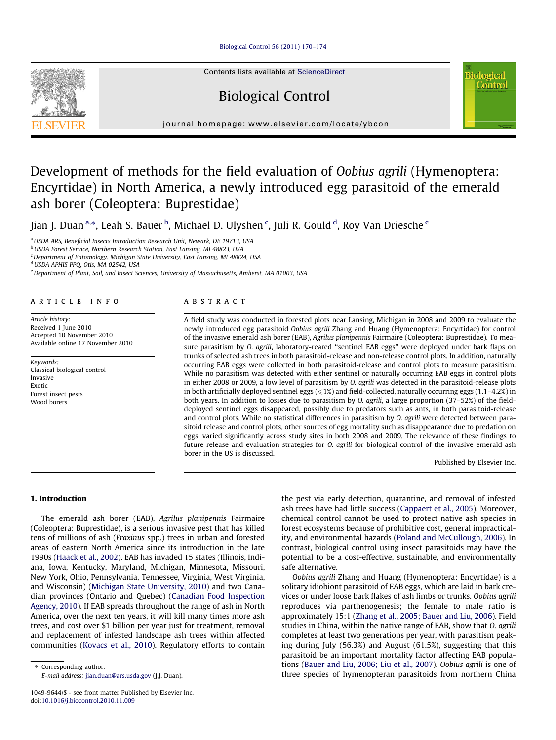## [Biological Control 56 \(2011\) 170–174](http://dx.doi.org/10.1016/j.biocontrol.2010.11.009)



# Biological Control



journal homepage: [www.elsevier.com/locate/ybcon](http://www.elsevier.com/locate/ybcon)

# Development of methods for the field evaluation of Oobius agrili (Hymenoptera: Encyrtidae) in North America, a newly introduced egg parasitoid of the emerald ash borer (Coleoptera: Buprestidae)

Jian J. Duan $^{\mathrm{a},\ast}$ , Leah S. Bauer $^{\mathrm{b}}$ , Michael D. Ulyshen $^{\mathrm{c}}$ , Juli R. Gould $^{\mathrm{d}}$ , Roy Van Driesche $^{\mathrm{e}}$ 

a USDA ARS, Beneficial Insects Introduction Research Unit, Newark, DE 19713, USA

**b** USDA Forest Service, Northern Research Station, East Lansing, MI 48823, USA

 $c$  Department of Entomology, Michigan State University, East Lansing, MI 48824, USA

<sup>d</sup> USDA APHIS PPQ, Otis, MA 02542, USA

e Department of Plant, Soil, and Insect Sciences, University of Massachusetts, Amherst, MA 01003, USA

### article info

Article history: Received 1 June 2010 Accepted 10 November 2010 Available online 17 November 2010

Keywords: Classical biological control Invasive Exotic Forest insect pests Wood borers

## **ABSTRACT**

A field study was conducted in forested plots near Lansing, Michigan in 2008 and 2009 to evaluate the newly introduced egg parasitoid Oobius agrili Zhang and Huang (Hymenoptera: Encyrtidae) for control of the invasive emerald ash borer (EAB), Agrilus planipennis Fairmaire (Coleoptera: Buprestidae). To measure parasitism by O. agrili, laboratory-reared ''sentinel EAB eggs'' were deployed under bark flaps on trunks of selected ash trees in both parasitoid-release and non-release control plots. In addition, naturally occurring EAB eggs were collected in both parasitoid-release and control plots to measure parasitism. While no parasitism was detected with either sentinel or naturally occurring EAB eggs in control plots in either 2008 or 2009, a low level of parasitism by O. agrili was detected in the parasitoid-release plots in both artificially deployed sentinel eggs  $(\leq 1\%)$  and field-collected, naturally occurring eggs (1.1–4.2%) in both years. In addition to losses due to parasitism by O. agrili, a large proportion (37–52%) of the fielddeployed sentinel eggs disappeared, possibly due to predators such as ants, in both parasitoid-release and control plots. While no statistical differences in parasitism by O. agrili were detected between parasitoid release and control plots, other sources of egg mortality such as disappearance due to predation on eggs, varied significantly across study sites in both 2008 and 2009. The relevance of these findings to future release and evaluation strategies for O. agrili for biological control of the invasive emerald ash borer in the US is discussed.

Published by Elsevier Inc.

1. Introduction

The emerald ash borer (EAB), Agrilus planipennis Fairmaire (Coleoptera: Buprestidae), is a serious invasive pest that has killed tens of millions of ash (Fraxinus spp.) trees in urban and forested areas of eastern North America since its introduction in the late 1990s [\(Haack et al., 2002](#page-4-0)). EAB has invaded 15 states (Illinois, Indiana, Iowa, Kentucky, Maryland, Michigan, Minnesota, Missouri, New York, Ohio, Pennsylvania, Tennessee, Virginia, West Virginia, and Wisconsin) [\(Michigan State University, 2010](#page-4-0)) and two Canadian provinces (Ontario and Quebec) ([Canadian Food Inspection](#page-4-0) [Agency, 2010\)](#page-4-0). If EAB spreads throughout the range of ash in North America, over the next ten years, it will kill many times more ash trees, and cost over \$1 billion per year just for treatment, removal and replacement of infested landscape ash trees within affected communities ([Kovacs et al., 2010\)](#page-4-0). Regulatory efforts to contain the pest via early detection, quarantine, and removal of infested ash trees have had little success ([Cappaert et al., 2005](#page-4-0)). Moreover, chemical control cannot be used to protect native ash species in forest ecosystems because of prohibitive cost, general impracticality, and environmental hazards [\(Poland and McCullough, 2006\)](#page-4-0). In contrast, biological control using insect parasitoids may have the potential to be a cost-effective, sustainable, and environmentally safe alternative.

Oobius agrili Zhang and Huang (Hymenoptera: Encyrtidae) is a solitary idiobiont parasitoid of EAB eggs, which are laid in bark crevices or under loose bark flakes of ash limbs or trunks. Oobius agrili reproduces via parthenogenesis; the female to male ratio is approximately 15:1 [\(Zhang et al., 2005; Bauer and Liu, 2006](#page-4-0)). Field studies in China, within the native range of EAB, show that O. agrili completes at least two generations per year, with parasitism peaking during July (56.3%) and August (61.5%), suggesting that this parasitoid be an important mortality factor affecting EAB populations [\(Bauer and Liu, 2006; Liu et al., 2007](#page-4-0)). Oobius agrili is one of three species of hymenopteran parasitoids from northern China

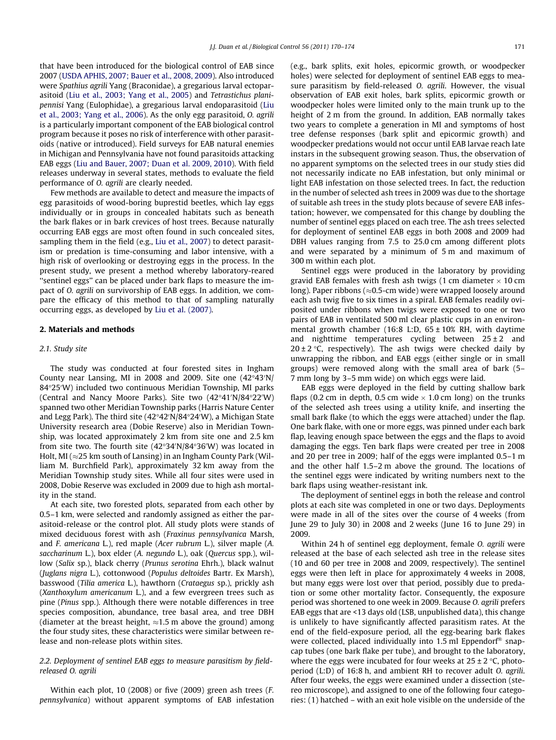that have been introduced for the biological control of EAB since 2007 [\(USDA APHIS, 2007; Bauer et al., 2008, 2009](#page-4-0)). Also introduced were Spathius agrili Yang (Braconidae), a gregarious larval ectoparasitoid [\(Liu et al., 2003; Yang et al., 2005](#page-4-0)) and Tetrastichus planipennisi Yang (Eulophidae), a gregarious larval endoparasitoid [\(Liu](#page-4-0) [et al., 2003; Yang et al., 2006\)](#page-4-0). As the only egg parasitoid, O. agrili is a particularly important component of the EAB biological control program because it poses no risk of interference with other parasitoids (native or introduced). Field surveys for EAB natural enemies in Michigan and Pennsylvania have not found parasitoids attacking EAB eggs [\(Liu and Bauer, 2007; Duan et al. 2009, 2010](#page-4-0)). With field releases underway in several states, methods to evaluate the field performance of O. agrili are clearly needed.

Few methods are available to detect and measure the impacts of egg parasitoids of wood-boring buprestid beetles, which lay eggs individually or in groups in concealed habitats such as beneath the bark flakes or in bark crevices of host trees. Because naturally occurring EAB eggs are most often found in such concealed sites, sampling them in the field (e.g., [Liu et al., 2007\)](#page-4-0) to detect parasitism or predation is time-consuming and labor intensive, with a high risk of overlooking or destroying eggs in the process. In the present study, we present a method whereby laboratory-reared ''sentinel eggs'' can be placed under bark flaps to measure the impact of O. agrili on survivorship of EAB eggs. In addition, we compare the efficacy of this method to that of sampling naturally occurring eggs, as developed by [Liu et al. \(2007\).](#page-4-0)

## 2. Materials and methods

#### 2.1. Study site

The study was conducted at four forested sites in Ingham County near Lansing, MI in 2008 and 2009. Site one  $(42°43'N/m)$ 84°25'W) included two continuous Meridian Township, MI parks (Central and Nancy Moore Parks). Site two (42°41′N/84°22′W) spanned two other Meridian Township parks (Harris Nature Center and Legg Park). The third site (42°42'N/84°24'W), a Michigan State University research area (Dobie Reserve) also in Meridian Township, was located approximately 2 km from site one and 2.5 km from site two. The fourth site (42°34'N/84°36'W) was located in Holt, MI ( $\approx$ 25 km south of Lansing) in an Ingham County Park (William M. Burchfield Park), approximately 32 km away from the Meridian Township study sites. While all four sites were used in 2008, Dobie Reserve was excluded in 2009 due to high ash mortality in the stand.

At each site, two forested plots, separated from each other by 0.5–1 km, were selected and randomly assigned as either the parasitoid-release or the control plot. All study plots were stands of mixed deciduous forest with ash (Fraxinus pennsylvanica Marsh, and F. americana L.), red maple (Acer rubrum L.), silver maple (A. saccharinum L.), box elder (A. negundo L.), oak (Quercus spp.), willow (Salix sp.), black cherry (Prunus serotina Ehrh.), black walnut (Juglans nigra L.), cottonwood (Populus deltoides Bartr. Ex Marsh), basswood (Tilia america L.), hawthorn (Crataegus sp.), prickly ash (Xanthoxylum americanum L.), and a few evergreen trees such as pine (Pinus spp.). Although there were notable differences in tree species composition, abundance, tree basal area, and tree DBH (diameter at the breast height,  $\approx \! 1.5 \text{ m}$  above the ground) among the four study sites, these characteristics were similar between release and non-release plots within sites.

## 2.2. Deployment of sentinel EAB eggs to measure parasitism by fieldreleased O. agrili

Within each plot, 10 (2008) or five (2009) green ash trees (F. pennsylvanica) without apparent symptoms of EAB infestation (e.g., bark splits, exit holes, epicormic growth, or woodpecker holes) were selected for deployment of sentinel EAB eggs to measure parasitism by field-released O. agrili. However, the visual observation of EAB exit holes, bark splits, epicormic growth or woodpecker holes were limited only to the main trunk up to the height of 2 m from the ground. In addition, EAB normally takes two years to complete a generation in MI and symptoms of host tree defense responses (bark split and epicormic growth) and woodpecker predations would not occur until EAB larvae reach late instars in the subsequent growing season. Thus, the observation of no apparent symptoms on the selected trees in our study sties did not necessarily indicate no EAB infestation, but only minimal or light EAB infestation on those selected trees. In fact, the reduction in the number of selected ash trees in 2009 was due to the shortage of suitable ash trees in the study plots because of severe EAB infestation; however, we compensated for this change by doubling the number of sentinel eggs placed on each tree. The ash trees selected for deployment of sentinel EAB eggs in both 2008 and 2009 had DBH values ranging from 7.5 to 25.0 cm among different plots and were separated by a minimum of 5 m and maximum of 300 m within each plot.

Sentinel eggs were produced in the laboratory by providing gravid EAB females with fresh ash twigs (1 cm diameter  $\times$  10 cm long). Paper ribbons ( $\approx$ 0.5-cm wide) were wrapped loosely around each ash twig five to six times in a spiral. EAB females readily oviposited under ribbons when twigs were exposed to one or two pairs of EAB in ventilated 500 ml clear plastic cups in an environmental growth chamber (16:8 L:D,  $65 \pm 10\%$  RH, with daytime and nighttime temperatures cycling between  $25 \pm 2$  and 20  $\pm$  2 °C, respectively). The ash twigs were checked daily by unwrapping the ribbon, and EAB eggs (either single or in small groups) were removed along with the small area of bark (5– 7 mm long by 3–5 mm wide) on which eggs were laid.

EAB eggs were deployed in the field by cutting shallow bark flaps (0.2 cm in depth, 0.5 cm wide  $\times$  1.0 cm long) on the trunks of the selected ash trees using a utility knife, and inserting the small bark flake (to which the eggs were attached) under the flap. One bark flake, with one or more eggs, was pinned under each bark flap, leaving enough space between the eggs and the flaps to avoid damaging the eggs. Ten bark flaps were created per tree in 2008 and 20 per tree in 2009; half of the eggs were implanted 0.5–1 m and the other half 1.5–2 m above the ground. The locations of the sentinel eggs were indicated by writing numbers next to the bark flaps using weather-resistant ink.

The deployment of sentinel eggs in both the release and control plots at each site was completed in one or two days. Deployments were made in all of the sites over the course of 4 weeks (from June 29 to July 30) in 2008 and 2 weeks (June 16 to June 29) in 2009.

Within 24 h of sentinel egg deployment, female O. agrili were released at the base of each selected ash tree in the release sites (10 and 60 per tree in 2008 and 2009, respectively). The sentinel eggs were then left in place for approximately 4 weeks in 2008, but many eggs were lost over that period, possibly due to predation or some other mortality factor. Consequently, the exposure period was shortened to one week in 2009. Because O. agrili prefers EAB eggs that are <13 days old (LSB, unpublished data), this change is unlikely to have significantly affected parasitism rates. At the end of the field-exposure period, all the egg-bearing bark flakes were collected, placed individually into 1.5 ml Eppendorf<sup>®</sup> snapcap tubes (one bark flake per tube), and brought to the laboratory, where the eggs were incubated for four weeks at  $25 \pm 2$  °C, photoperiod (L:D) of 16:8 h, and ambient RH to recover adult O. agrili. After four weeks, the eggs were examined under a dissection (stereo microscope), and assigned to one of the following four categories: (1) hatched – with an exit hole visible on the underside of the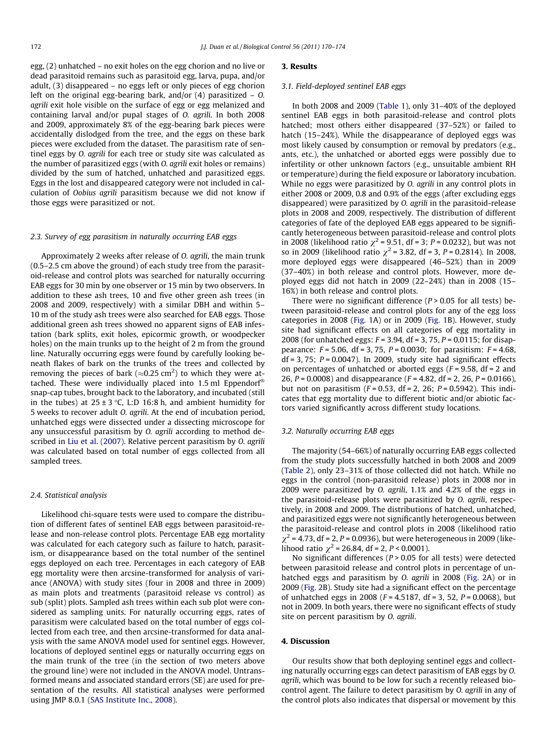egg, (2) unhatched – no exit holes on the egg chorion and no live or dead parasitoid remains such as parasitoid egg, larva, pupa, and/or adult, (3) disappeared – no eggs left or only pieces of egg chorion left on the original egg-bearing bark, and/or (4) parasitized – O. agrili exit hole visible on the surface of egg or egg melanized and containing larval and/or pupal stages of O. agrili. In both 2008 and 2009, approximately 8% of the egg-bearing bark pieces were accidentally dislodged from the tree, and the eggs on these bark pieces were excluded from the dataset. The parasitism rate of sentinel eggs by O. agrili for each tree or study site was calculated as the number of parasitized eggs (with O. agrili exit holes or remains) divided by the sum of hatched, unhatched and parasitized eggs. Eggs in the lost and disappeared category were not included in calculation of Oobius agrili parasitism because we did not know if those eggs were parasitized or not.

## 2.3. Survey of egg parasitism in naturally occurring EAB eggs

Approximately 2 weeks after release of O. agrili, the main trunk (0.5–2.5 cm above the ground) of each study tree from the parasitoid-release and control plots was searched for naturally occurring EAB eggs for 30 min by one observer or 15 min by two observers. In addition to these ash trees, 10 and five other green ash trees (in 2008 and 2009, respectively) with a similar DBH and within 5– 10 m of the study ash trees were also searched for EAB eggs. Those additional green ash trees showed no apparent signs of EAB infestation (bark splits, exit holes, epicormic growth, or woodpecker holes) on the main trunks up to the height of 2 m from the ground line. Naturally occurring eggs were found by carefully looking beneath flakes of bark on the trunks of the trees and collected by removing the pieces of bark ( $\approx$ 0.25 cm<sup>2</sup>) to which they were attached. These were individually placed into 1.5 ml Eppendorf snap-cap tubes, brought back to the laboratory, and incubated (still in the tubes) at  $25 \pm 3$  °C, L:D 16:8 h, and ambient humidity for 5 weeks to recover adult O. agrili. At the end of incubation period, unhatched eggs were dissected under a dissecting microscope for any unsuccessful parasitism by O. agrili according to method described in [Liu et al. \(2007\).](#page-4-0) Relative percent parasitism by O. agrili was calculated based on total number of eggs collected from all sampled trees.

#### 2.4. Statistical analysis

Likelihood chi-square tests were used to compare the distribution of different fates of sentinel EAB eggs between parasitoid-release and non-release control plots. Percentage EAB egg mortality was calculated for each category such as failure to hatch, parasitism, or disappearance based on the total number of the sentinel eggs deployed on each tree. Percentages in each category of EAB egg mortality were then arcsine-transformed for analysis of variance (ANOVA) with study sites (four in 2008 and three in 2009) as main plots and treatments (parasitoid release vs control) as sub (split) plots. Sampled ash trees within each sub plot were considered as sampling units. For naturally occurring eggs, rates of parasitism were calculated based on the total number of eggs collected from each tree, and then arcsine-transformed for data analysis with the same ANOVA model used for sentinel eggs. However, locations of deployed sentinel eggs or naturally occurring eggs on the main trunk of the tree (in the section of two meters above the ground line) were not included in the ANOVA model. Untransformed means and associated standard errors (SE) are used for presentation of the results. All statistical analyses were performed using JMP 8.0.1 [\(SAS Institute Inc., 2008](#page-4-0)).

## 3. Results

#### 3.1. Field-deployed sentinel EAB eggs

In both 2008 and 2009 ([Table 1\)](#page-3-0), only 31–40% of the deployed sentinel EAB eggs in both parasitoid-release and control plots hatched; most others either disappeared (37–52%) or failed to hatch (15–24%). While the disappearance of deployed eggs was most likely caused by consumption or removal by predators (e.g., ants, etc.), the unhatched or aborted eggs were possibly due to infertility or other unknown factors (e.g., unsuitable ambient RH or temperature) during the field exposure or laboratory incubation. While no eggs were parasitized by O. agrili in any control plots in either 2008 or 2009, 0.8 and 0.9% of the eggs (after excluding eggs disappeared) were parasitized by O. agrili in the parasitoid-release plots in 2008 and 2009, respectively. The distribution of different categories of fate of the deployed EAB eggs appeared to be significantly heterogeneous between parasitoid-release and control plots in 2008 (likelihood ratio  $\chi^2$  = 9.51, df = 3; P = 0.0232), but was not so in 2009 (likelihood ratio  $\chi^2$  = 3.82, df = 3, P = 0.2814). In 2008, more deployed eggs were disappeared (46–52%) than in 2009 (37–40%) in both release and control plots. However, more deployed eggs did not hatch in 2009 (22–24%) than in 2008 (15– 16%) in both release and control plots.

There were no significant difference ( $P > 0.05$  for all tests) between parasitoid-release and control plots for any of the egg loss categories in 2008 ([Fig. 1A](#page-3-0)) or in 2009 ([Fig. 1B](#page-3-0)). However, study site had significant effects on all categories of egg mortality in 2008 (for unhatched eggs: F = 3.94, df = 3, 75, P = 0.0115; for disappearance:  $F = 5.06$ , df = 3, 75,  $P = 0.0030$ ; for parasitism:  $F = 4.68$ ,  $df = 3, 75$ ;  $P = 0.0047$ ). In 2009, study site had significant effects on percentages of unhatched or aborted eggs ( $F = 9.58$ , df = 2 and 26,  $P = 0.0008$ ) and disappearance ( $F = 4.82$ , df = 2, 26,  $P = 0.0166$ ), but not on parasitism ( $F = 0.53$ , df = 2, 26;  $P = 0.5942$ ). This indicates that egg mortality due to different biotic and/or abiotic factors varied significantly across different study locations.

## 3.2. Naturally occurring EAB eggs

The majority (54–66%) of naturally occurring EAB eggs collected from the study plots successfully hatched in both 2008 and 2009 ([Table 2\)](#page-3-0), only 23–31% of those collected did not hatch. While no eggs in the control (non-parasitoid release) plots in 2008 nor in 2009 were parasitized by O. agrili, 1.1% and 4.2% of the eggs in the parasitoid-release plots were parasitized by O. agrili, respectively, in 2008 and 2009. The distributions of hatched, unhatched, and parasitized eggs were not significantly heterogeneous between the parasitoid-release and control plots in 2008 (likelihood ratio  $\chi^2$  = 4.73, df = 2, P = 0.0936), but were heterogeneous in 2009 (likelihood ratio  $\chi^2$  = 26.84, df = 2, P < 0.0001).

No significant differences ( $P > 0.05$  for all tests) were detected between parasitoid release and control plots in percentage of unhatched eggs and parasitism by O. agrili in 2008 [\(Fig. 2A](#page-4-0)) or in 2009 ([Fig. 2B](#page-4-0)). Study site had a significant effect on the percentage of unhatched eggs in 2008 ( $F = 4.5187$ , df = 3, 52,  $P = 0.0068$ ), but not in 2009. In both years, there were no significant effects of study site on percent parasitism by O. agrili.

#### 4. Discussion

Our results show that both deploying sentinel eggs and collecting naturally occurring eggs can detect parasitism of EAB eggs by O. agrili, which was bound to be low for such a recently released biocontrol agent. The failure to detect parasitism by O. agrili in any of the control plots also indicates that dispersal or movement by this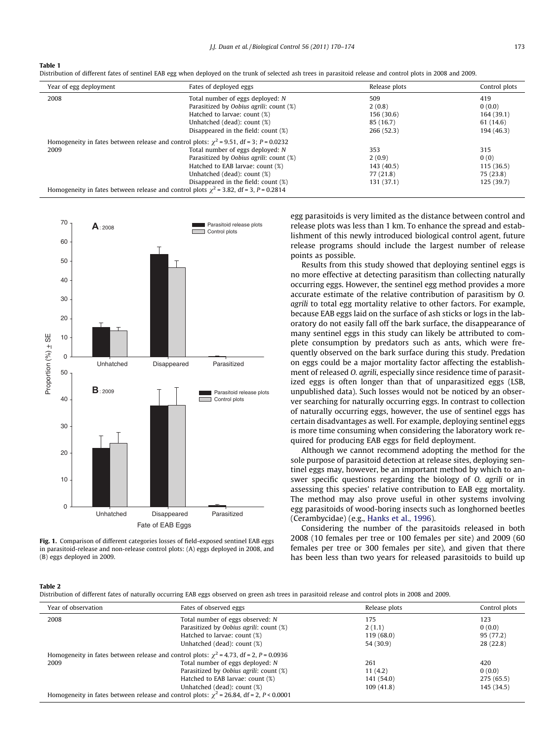<span id="page-3-0"></span>

| $\sim$<br>. . |  |
|---------------|--|
|---------------|--|

|  |  |  |  |  | Distribution of different fates of sentinel EAB egg when deployed on the trunk of selected ash trees in parasitoid release and control plots in 2008 and 2009. |
|--|--|--|--|--|----------------------------------------------------------------------------------------------------------------------------------------------------------------|
|  |  |  |  |  |                                                                                                                                                                |

| Year of egg deployment                                                                       | Fates of deployed eggs                  | Release plots | Control plots |
|----------------------------------------------------------------------------------------------|-----------------------------------------|---------------|---------------|
| 2008                                                                                         | Total number of eggs deployed: N        | 509           | 419           |
|                                                                                              | Parasitized by Oobius agrili: count (%) | 2(0.8)        | 0(0.0)        |
|                                                                                              | Hatched to larvae: count (%)            | 156 (30.6)    | 164 (39.1)    |
|                                                                                              | Unhatched (dead): count (%)             | 85 (16.7)     | 61 (14.6)     |
|                                                                                              | Disappeared in the field: count (%)     | 266(52.3)     | 194 (46.3)    |
| Homogeneity in fates between release and control plots: $\chi^2$ = 9.51, df = 3; P = 0.0232  |                                         |               |               |
| 2009                                                                                         | Total number of eggs deployed: N        | 353           | 315           |
|                                                                                              | Parasitized by Oobius agrili: count (%) | 2(0.9)        | 0(0)          |
|                                                                                              | Hatched to EAB larvae: count (%)        | 143 (40.5)    | 115 (36.5)    |
|                                                                                              | Unhatched (dead): count (%)             | 77(21.8)      | 75(23.8)      |
|                                                                                              | Disappeared in the field: count (%)     | 131 (37.1)    | 125 (39.7)    |
| Homogeneity in fates between release and control plots $\gamma^2$ = 3.82, df = 3, P = 0.2814 |                                         |               |               |



Fig. 1. Comparison of different categories losses of field-exposed sentinel EAB eggs in parasitoid-release and non-release control plots: (A) eggs deployed in 2008, and (B) eggs deployed in 2009.

egg parasitoids is very limited as the distance between control and release plots was less than 1 km. To enhance the spread and establishment of this newly introduced biological control agent, future release programs should include the largest number of release points as possible.

Results from this study showed that deploying sentinel eggs is no more effective at detecting parasitism than collecting naturally occurring eggs. However, the sentinel egg method provides a more accurate estimate of the relative contribution of parasitism by O. agrili to total egg mortality relative to other factors. For example, because EAB eggs laid on the surface of ash sticks or logs in the laboratory do not easily fall off the bark surface, the disappearance of many sentinel eggs in this study can likely be attributed to complete consumption by predators such as ants, which were frequently observed on the bark surface during this study. Predation on eggs could be a major mortality factor affecting the establishment of released O. agrili, especially since residence time of parasitized eggs is often longer than that of unparasitized eggs (LSB, unpublished data). Such losses would not be noticed by an observer searching for naturally occurring eggs. In contrast to collection of naturally occurring eggs, however, the use of sentinel eggs has certain disadvantages as well. For example, deploying sentinel eggs is more time consuming when considering the laboratory work required for producing EAB eggs for field deployment.

Although we cannot recommend adopting the method for the sole purpose of parasitoid detection at release sites, deploying sentinel eggs may, however, be an important method by which to answer specific questions regarding the biology of O. agrili or in assessing this species' relative contribution to EAB egg mortality. The method may also prove useful in other systems involving egg parasitoids of wood-boring insects such as longhorned beetles (Cerambycidae) (e.g., [Hanks et al., 1996](#page-4-0)).

Considering the number of the parasitoids released in both 2008 (10 females per tree or 100 females per site) and 2009 (60 females per tree or 300 females per site), and given that there has been less than two years for released parasitoids to build up

#### Table 2

Distribution of different fates of naturally occurring EAB eggs observed on green ash trees in parasitoid release and control plots in 2008 and 2009.

| Year of observation                                                                           | Fates of observed eggs                  | Release plots | Control plots |  |  |  |
|-----------------------------------------------------------------------------------------------|-----------------------------------------|---------------|---------------|--|--|--|
| 2008                                                                                          | Total number of eggs observed: N        | 175           | 123           |  |  |  |
|                                                                                               | Parasitized by Oobius agrili: count (%) | 2(1.1)        | 0(0.0)        |  |  |  |
|                                                                                               | Hatched to larvae: count (%)            | 119(68.0)     | 95 (77.2)     |  |  |  |
|                                                                                               | Unhatched (dead): count (%)             | 54 (30.9)     | 28 (22.8)     |  |  |  |
| Homogeneity in fates between release and control plots: $\gamma^2$ = 4.73, df = 2, P = 0.0936 |                                         |               |               |  |  |  |
| 2009                                                                                          | Total number of eggs deployed: N        | 261           | 420           |  |  |  |
|                                                                                               | Parasitized by Oobius agrili: count (%) | 11(4.2)       | 0(0.0)        |  |  |  |
|                                                                                               | Hatched to EAB larvae: count (%)        | 141 (54.0)    | 275 (65.5)    |  |  |  |
|                                                                                               | Unhatched (dead): count (%)             | 109(41.8)     | 145 (34.5)    |  |  |  |
| Homogeneity in fates between release and control plots: $\chi^2$ = 26.84, df = 2, P < 0.0001  |                                         |               |               |  |  |  |